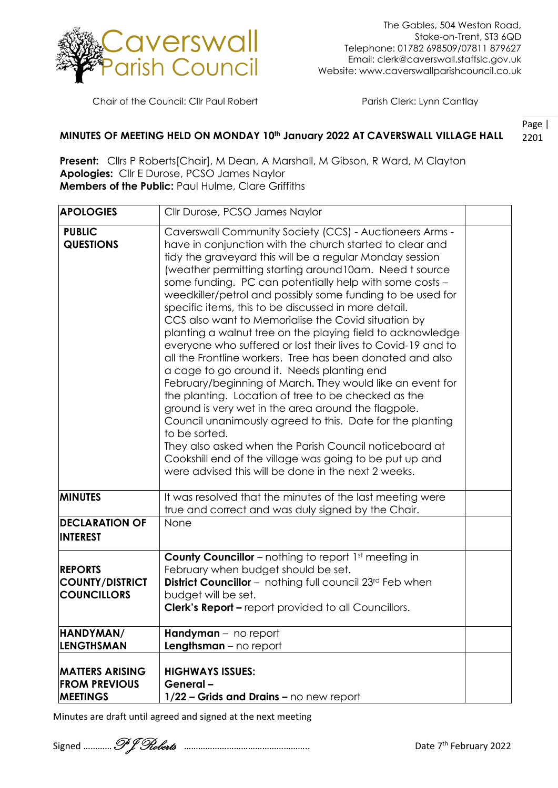

Chair of the Council: Cllr Paul Robert Parish Clerk: Lynn Cantlay

## Page | 2201 **MINUTES OF MEETING HELD ON MONDAY 10th January 2022 AT CAVERSWALL VILLAGE HALL**

**Present:** Cllrs P Roberts[Chair], M Dean, A Marshall, M Gibson, R Ward, M Clayton **Apologies:** Cllr E Durose, PCSO James Naylor **Members of the Public:** Paul Hulme, Clare Griffiths

| <b>APOLOGIES</b>                                                  | Cllr Durose, PCSO James Naylor                                                                                                                                                                                                                                                                                                                                                                                                                                                                                                                                                                                                                                                                                                                                                                                                                                                                                                                                                                                                                                                                                                                                   |  |
|-------------------------------------------------------------------|------------------------------------------------------------------------------------------------------------------------------------------------------------------------------------------------------------------------------------------------------------------------------------------------------------------------------------------------------------------------------------------------------------------------------------------------------------------------------------------------------------------------------------------------------------------------------------------------------------------------------------------------------------------------------------------------------------------------------------------------------------------------------------------------------------------------------------------------------------------------------------------------------------------------------------------------------------------------------------------------------------------------------------------------------------------------------------------------------------------------------------------------------------------|--|
| <b>PUBLIC</b><br><b>QUESTIONS</b>                                 | Caverswall Community Society (CCS) - Auctioneers Arms -<br>have in conjunction with the church started to clear and<br>tidy the graveyard this will be a regular Monday session<br>(weather permitting starting around 10am. Need t source<br>some funding. PC can potentially help with some costs -<br>weedkiller/petrol and possibly some funding to be used for<br>specific items, this to be discussed in more detail.<br>CCS also want to Memorialise the Covid situation by<br>planting a walnut tree on the playing field to acknowledge<br>everyone who suffered or lost their lives to Covid-19 and to<br>all the Frontline workers. Tree has been donated and also<br>a cage to go around it. Needs planting end<br>February/beginning of March. They would like an event for<br>the planting. Location of tree to be checked as the<br>ground is very wet in the area around the flagpole.<br>Council unanimously agreed to this. Date for the planting<br>to be sorted.<br>They also asked when the Parish Council noticeboard at<br>Cookshill end of the village was going to be put up and<br>were advised this will be done in the next 2 weeks. |  |
| <b>MINUTES</b>                                                    | It was resolved that the minutes of the last meeting were<br>true and correct and was duly signed by the Chair.                                                                                                                                                                                                                                                                                                                                                                                                                                                                                                                                                                                                                                                                                                                                                                                                                                                                                                                                                                                                                                                  |  |
| <b>DECLARATION OF</b><br><b>INTEREST</b>                          | None                                                                                                                                                                                                                                                                                                                                                                                                                                                                                                                                                                                                                                                                                                                                                                                                                                                                                                                                                                                                                                                                                                                                                             |  |
| <b>REPORTS</b><br><b>COUNTY/DISTRICT</b><br><b>COUNCILLORS</b>    | <b>County Councillor</b> – nothing to report 1st meeting in<br>February when budget should be set.<br><b>District Councillor</b> - nothing full council 23rd Feb when<br>budget will be set.<br><b>Clerk's Report - report provided to all Councillors.</b>                                                                                                                                                                                                                                                                                                                                                                                                                                                                                                                                                                                                                                                                                                                                                                                                                                                                                                      |  |
| HANDYMAN/<br><b>LENGTHSMAN</b>                                    | Handyman - no report<br><b>Lengthsman</b> $-$ no report                                                                                                                                                                                                                                                                                                                                                                                                                                                                                                                                                                                                                                                                                                                                                                                                                                                                                                                                                                                                                                                                                                          |  |
| <b>MATTERS ARISING</b><br><b>FROM PREVIOUS</b><br><b>MEETINGS</b> | <b>HIGHWAYS ISSUES:</b><br>General-<br>1/22 - Grids and Drains - no new report                                                                                                                                                                                                                                                                                                                                                                                                                                                                                                                                                                                                                                                                                                                                                                                                                                                                                                                                                                                                                                                                                   |  |

Minutes are draft until agreed and signed at the next meeting

Signed …………P J Roberts …………………………………………….. Date <sup>7</sup>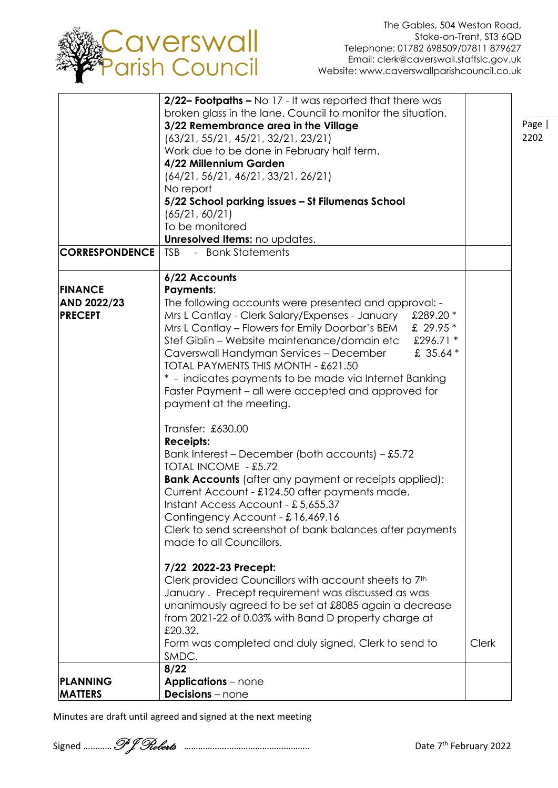

Page | 2202

|                       | 2/22- Footpaths - No 17 - It was reported that there was      |              |
|-----------------------|---------------------------------------------------------------|--------------|
|                       | broken glass in the lane. Council to monitor the situation.   |              |
|                       | 3/22 Remembrance area in the Village                          |              |
|                       | (63/21, 55/21, 45/21, 32/21, 23/21)                           |              |
|                       | Work due to be done in February half term.                    |              |
|                       | 4/22 Millennium Garden                                        |              |
|                       | (64/21, 56/21, 46/21, 33/21, 26/21)                           |              |
|                       | No report                                                     |              |
|                       | 5/22 School parking issues - St Filumenas School              |              |
|                       | (65/21, 60/21)                                                |              |
|                       | To be monitored                                               |              |
|                       | Unresolved Items: no updates.                                 |              |
| <b>CORRESPONDENCE</b> | - Bank Statements<br><b>TSB</b>                               |              |
|                       |                                                               |              |
|                       | 6/22 Accounts                                                 |              |
| <b>FINANCE</b>        | <b>Payments:</b>                                              |              |
| AND 2022/23           | The following accounts were presented and approval: -         |              |
| <b>PRECEPT</b>        | £289.20 *<br>Mrs L Cantlay - Clerk Salary/Expenses - January  |              |
|                       | £ 29.95 *                                                     |              |
|                       | Mrs L Cantlay - Flowers for Emily Doorbar's BEM               |              |
|                       | Stef Giblin – Website maintenance/domain etc<br>£296.71 *     |              |
|                       | £ 35.64 *<br>Caverswall Handyman Services - December          |              |
|                       | TOTAL PAYMENTS THIS MONTH - £621.50                           |              |
|                       | * - indicates payments to be made via Internet Banking        |              |
|                       | Faster Payment – all were accepted and approved for           |              |
|                       | payment at the meeting.                                       |              |
|                       |                                                               |              |
|                       | Transfer: £630.00                                             |              |
|                       | <b>Receipts:</b>                                              |              |
|                       | Bank Interest – December (both accounts) – £5.72              |              |
|                       | TOTAL INCOME - £5.72                                          |              |
|                       | <b>Bank Accounts</b> (after any payment or receipts applied): |              |
|                       | Current Account - £124.50 after payments made.                |              |
|                       | Instant Access Account - £5,655.37                            |              |
|                       | Contingency Account - £16,469.16                              |              |
|                       | Clerk to send screenshot of bank balances after payments      |              |
|                       | made to all Councillors.                                      |              |
|                       |                                                               |              |
|                       | 7/22 2022-23 Precept:                                         |              |
|                       | Clerk provided Councillors with account sheets to 7th         |              |
|                       | January. Precept requirement was discussed as was             |              |
|                       | unanimously agreed to be set at £8085 again a decrease        |              |
|                       | from 2021-22 of 0.03% with Band D property charge at          |              |
|                       | £20.32.                                                       |              |
|                       | Form was completed and duly signed, Clerk to send to          | <b>Clerk</b> |
|                       | SMDC.                                                         |              |
|                       | 8/22                                                          |              |
| PLANNING              | <b>Applications</b> – none                                    |              |
| <b>MATTERS</b>        | <b>Decisions</b> – none                                       |              |

Minutes are draft until agreed and signed at the next meeting

Signed …………P J Roberts …………………………………………….. Date <sup>7</sup>